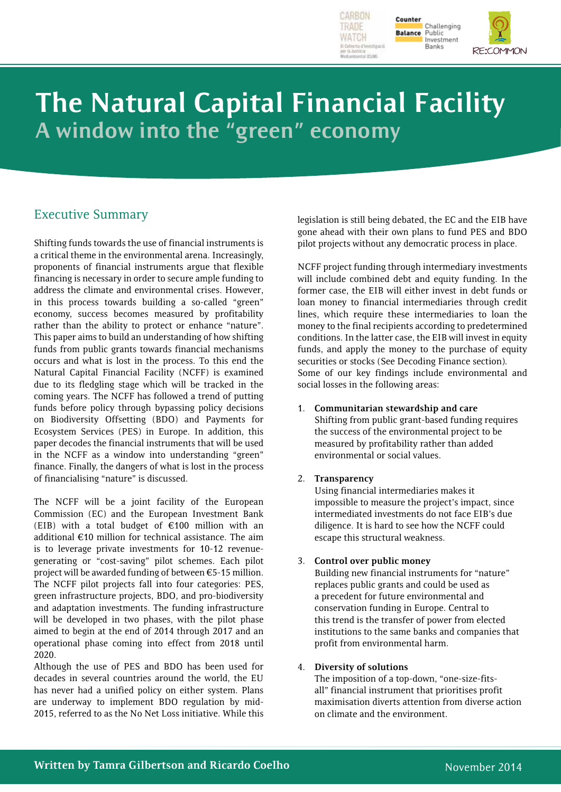



Public<br>Investment **Banks** 

# **The Natural Capital Financial Facility A window into the "green" economy**

# Executive Summary

Shifting funds towards the use of financial instruments is a critical theme in the environmental arena. Increasingly, proponents of financial instruments argue that flexible financing is necessary in order to secure ample funding to address the climate and environmental crises. However, in this process towards building a so-called "green" economy, success becomes measured by profitability rather than the ability to protect or enhance "nature". This paper aims to build an understanding of how shifting funds from public grants towards financial mechanisms occurs and what is lost in the process. To this end the Natural Capital Financial Facility (NCFF) is examined due to its fledgling stage which will be tracked in the coming years. The NCFF has followed a trend of putting funds before policy through bypassing policy decisions on Biodiversity Offsetting (BDO) and Payments for Ecosystem Services (PES) in Europe. In addition, this paper decodes the financial instruments that will be used in the NCFF as a window into understanding "green" finance. Finally, the dangers of what is lost in the process of financialising "nature" is discussed.

The NCFF will be a joint facility of the European Commission (EC) and the European Investment Bank (EIB) with a total budget of  $\epsilon$ 100 million with an additional €10 million for technical assistance. The aim is to leverage private investments for 10-12 revenuegenerating or "cost-saving" pilot schemes. Each pilot project will be awarded funding of between  $\epsilon$ 5-15 million. The NCFF pilot projects fall into four categories: PES, green infrastructure projects, BDO, and pro-biodiversity and adaptation investments. The funding infrastructure will be developed in two phases, with the pilot phase aimed to begin at the end of 2014 through 2017 and an operational phase coming into effect from 2018 until 2020.

Although the use of PES and BDO has been used for decades in several countries around the world, the EU has never had a unified policy on either system. Plans are underway to implement BDO regulation by mid-2015, referred to as the No Net Loss initiative. While this

legislation is still being debated, the EC and the EIB have gone ahead with their own plans to fund PES and BDO pilot projects without any democratic process in place.

NCFF project funding through intermediary investments will include combined debt and equity funding. In the former case, the EIB will either invest in debt funds or loan money to financial intermediaries through credit lines, which require these intermediaries to loan the money to the final recipients according to predetermined conditions. In the latter case, the EIB will invest in equity funds, and apply the money to the purchase of equity securities or stocks (See Decoding Finance section). Some of our key findings include environmental and social losses in the following areas:

1. **Communitarian stewardship and care** Shifting from public grant-based funding requires the success of the environmental project to be measured by profitability rather than added environmental or social values.

### 2. **Transparency**

Using financial intermediaries makes it impossible to measure the project's impact, since intermediated investments do not face EIB's due diligence. It is hard to see how the NCFF could escape this structural weakness.

#### 3. **Control over public money**

Building new financial instruments for "nature" replaces public grants and could be used as a precedent for future environmental and conservation funding in Europe. Central to this trend is the transfer of power from elected institutions to the same banks and companies that profit from environmental harm.

#### 4. **Diversity of solutions**

The imposition of a top-down, "one-size-fitsall" financial instrument that prioritises profit maximisation diverts attention from diverse action on climate and the environment.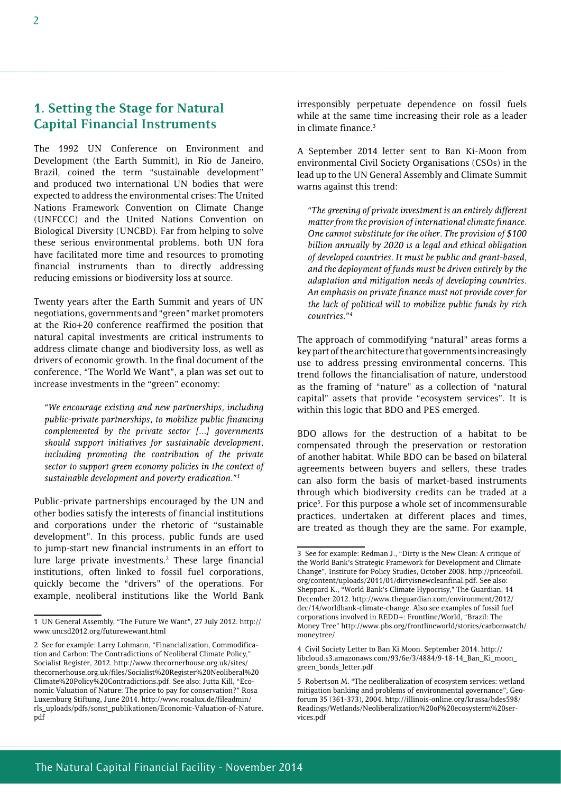The 1992 UN Conference on Environment and Development (the Earth Summit), in Rio de Janeiro, Brazil, coined the term "sustainable development" and produced two international UN bodies that were expected to address the environmental crises: The United Nations Framework Convention on Climate Change (UNFCCC) and the United Nations Convention on Biological Diversity (UNCBD). Far from helping to solve these serious environmental problems, both UN fora have facilitated more time and resources to promoting financial instruments than to directly addressing reducing emissions or biodiversity loss at source.

Twenty years after the Earth Summit and years of UN negotiations, governments and "green" market promoters at the Rio+20 conference reaffirmed the position that natural capital investments are critical instruments to address climate change and biodiversity loss, as well as drivers of economic growth. In the final document of the conference, "The World We Want", a plan was set out to increase investments in the "green" economy:

*"We encourage existing and new partnerships, including public-private partnerships, to mobilize public financing complemented by the private sector [...] governments should support initiatives for sustainable development, including promoting the contribution of the private sector to support green economy policies in the context of sustainable development and poverty eradication."1*

Public-private partnerships encouraged by the UN and other bodies satisfy the interests of financial institutions and corporations under the rhetoric of "sustainable development". In this process, public funds are used to jump-start new financial instruments in an effort to lure large private investments.<sup>2</sup> These large financial institutions, often linked to fossil fuel corporations, quickly become the "drivers" of the operations. For example, neoliberal institutions like the World Bank irresponsibly perpetuate dependence on fossil fuels while at the same time increasing their role as a leader in climate finance.3

A September 2014 letter sent to Ban Ki-Moon from environmental Civil Society Organisations (CSOs) in the lead up to the UN General Assembly and Climate Summit warns against this trend:

*"The greening of private investment is an entirely different matter from the provision of international climate finance. One cannot substitute for the other. The provision of \$100 billion annually by 2020 is a legal and ethical obligation of developed countries. It must be public and grant-based, and the deployment of funds must be driven entirely by the adaptation and mitigation needs of developing countries. An emphasis on private finance must not provide cover for the lack of political will to mobilize public funds by rich countries."4*

The approach of commodifying "natural" areas forms a key part of the architecture that governments increasingly use to address pressing environmental concerns. This trend follows the financialisation of nature, understood as the framing of "nature" as a collection of "natural capital" assets that provide "ecosystem services". It is within this logic that BDO and PES emerged.

BDO allows for the destruction of a habitat to be compensated through the preservation or restoration of another habitat. While BDO can be based on bilateral agreements between buyers and sellers, these trades can also form the basis of market-based instruments through which biodiversity credits can be traded at a price5 . For this purpose a whole set of incommensurable practices, undertaken at different places and times, are treated as though they are the same. For example,

<sup>1</sup> UN General Assembly, "The Future We Want", 27 July 2012. http:// www.uncsd2012.org/futurewewant.html

<sup>2</sup> See for example: Larry Lohmann, "Financialization, Commodification and Carbon: The Contradictions of Neoliberal Climate Policy," Socialist Register, 2012. http://www.thecornerhouse.org.uk/sites/ thecornerhouse.org.uk/files/Socialist%20Register%20Neoliberal%20 Climate%20Policy%20Contradictions.pdf. See also: Jutta Kill, "Economic Valuation of Nature: The price to pay for conservation?" Rosa Luxemburg Stiftung, June 2014. http://www.rosalux.de/fileadmin/ rls\_uploads/pdfs/sonst\_publikationen/Economic-Valuation-of-Nature. pdf

<sup>3</sup> See for example: Redman J., "Dirty is the New Clean: A critique of the World Bank's Strategic Framework for Development and Climate Change", Institute for Policy Studies, October 2008. http://priceofoil. org/content/uploads/2011/01/dirtyisnewcleanfinal.pdf. See also: Sheppard K., "World Bank's Climate Hypocrisy," The Guardian, 14 December 2012. http://www.theguardian.com/environment/2012/ dec/14/worldbank-climate-change. Also see examples of fossil fuel corporations involved in REDD+: Frontline/World, "Brazil: The Money Tree" http://www.pbs.org/frontlineworld/stories/carbonwatch/ moneytree/

<sup>4</sup> Civil Society Letter to Ban Ki Moon. September 2014. http:// libcloud.s3.amazonaws.com/93/6e/3/4884/9-18-14\_Ban\_Ki\_moon\_ green\_bonds\_letter.pdf

<sup>5</sup> Robertson M. "The neoliberalization of ecosystem services: wetland mitigation banking and problems of environmental governance", Geoforum 35 (361-373), 2004. http://illinois-online.org/krassa/hdes598/ Readings/Wetlands/Neoliberalization%20of%20ecosysterm%20services.pdf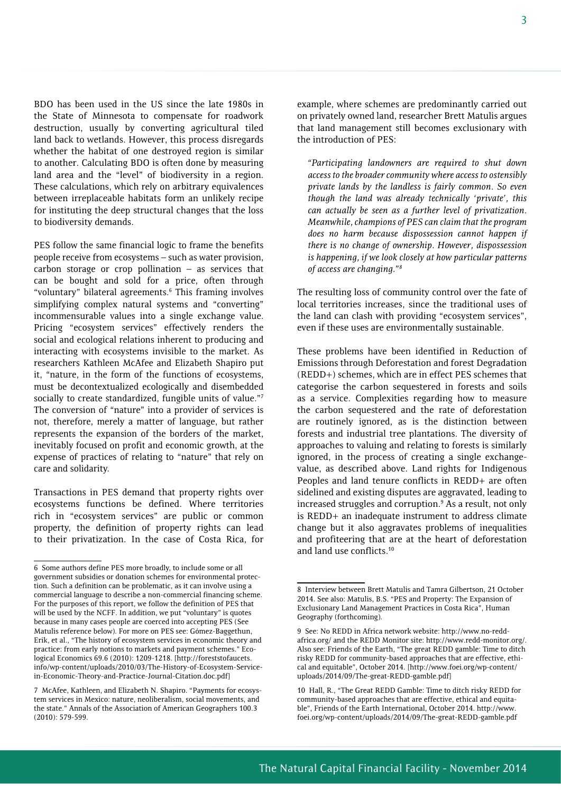BDO has been used in the US since the late 1980s in the State of Minnesota to compensate for roadwork destruction, usually by converting agricultural tiled land back to wetlands. However, this process disregards whether the habitat of one destroyed region is similar to another. Calculating BDO is often done by measuring land area and the "level" of biodiversity in a region. These calculations, which rely on arbitrary equivalences between irreplaceable habitats form an unlikely recipe for instituting the deep structural changes that the loss to biodiversity demands.

PES follow the same financial logic to frame the benefits people receive from ecosystems – such as water provision, carbon storage or crop pollination  $-$  as services that can be bought and sold for a price, often through "voluntary" bilateral agreements.6 This framing involves simplifying complex natural systems and "converting" incommensurable values into a single exchange value. Pricing "ecosystem services" effectively renders the social and ecological relations inherent to producing and interacting with ecosystems invisible to the market. As researchers Kathleen McAfee and Elizabeth Shapiro put it, "nature, in the form of the functions of ecosystems, must be decontextualized ecologically and disembedded socially to create standardized, fungible units of value."7 The conversion of "nature" into a provider of services is not, therefore, merely a matter of language, but rather represents the expansion of the borders of the market, inevitably focused on profit and economic growth, at the expense of practices of relating to "nature" that rely on care and solidarity.

Transactions in PES demand that property rights over ecosystems functions be defined. Where territories rich in "ecosystem services" are public or common property, the definition of property rights can lead to their privatization. In the case of Costa Rica, for

example, where schemes are predominantly carried out on privately owned land, researcher Brett Matulis argues that land management still becomes exclusionary with the introduction of PES:

*"Participating landowners are required to shut down access to the broader community where access to ostensibly private lands by the landless is fairly common. So even though the land was already technically 'private', this can actually be seen as a further level of privatization. Meanwhile, champions of PES can claim that the program does no harm because dispossession cannot happen if there is no change of ownership. However, dispossession is happening, if we look closely at how particular patterns of access are changing."8*

The resulting loss of community control over the fate of local territories increases, since the traditional uses of the land can clash with providing "ecosystem services", even if these uses are environmentally sustainable.

These problems have been identified in Reduction of Emissions through Deforestation and forest Degradation (REDD+) schemes, which are in effect PES schemes that categorise the carbon sequestered in forests and soils as a service. Complexities regarding how to measure the carbon sequestered and the rate of deforestation are routinely ignored, as is the distinction between forests and industrial tree plantations. The diversity of approaches to valuing and relating to forests is similarly ignored, in the process of creating a single exchangevalue, as described above. Land rights for Indigenous Peoples and land tenure conflicts in REDD+ are often sidelined and existing disputes are aggravated, leading to increased struggles and corruption.<sup>9</sup> As a result, not only is REDD+ an inadequate instrument to address climate change but it also aggravates problems of inequalities and profiteering that are at the heart of deforestation and land use conflicts.10

<sup>6</sup> Some authors define PES more broadly, to include some or all government subsidies or donation schemes for environmental protection. Such a definition can be problematic, as it can involve using a commercial language to describe a non-commercial financing scheme. For the purposes of this report, we follow the definition of PES that will be used by the NCFF. In addition, we put "voluntary" is quotes because in many cases people are coerced into accepting PES (See Matulis reference below). For more on PES see: Gómez-Baggethun, Erik, et al., "The history of ecosystem services in economic theory and practice: from early notions to markets and payment schemes." Ecological Economics 69.6 (2010): 1209-1218. [http://foreststofaucets. info/wp-content/uploads/2010/03/The-History-of-Ecosystem-Servicein-Economic-Theory-and-Practice-Journal-Citation.doc.pdf]

<sup>7</sup> McAfee, Kathleen, and Elizabeth N. Shapiro. "Payments for ecosystem services in Mexico: nature, neoliberalism, social movements, and the state." Annals of the Association of American Geographers 100.3 (2010): 579-599.

<sup>8</sup> Interview between Brett Matulis and Tamra Gilbertson, 21 October 2014. See also: Matulis, B.S. "PES and Property: The Expansion of Exclusionary Land Management Practices in Costa Rica", Human Geography (forthcoming).

<sup>9</sup> See: No REDD in Africa network website: http://www.no-reddafrica.org/ and the REDD Monitor site: http://www.redd-monitor.org/. Also see: Friends of the Earth, "The great REDD gamble: Time to ditch risky REDD for community-based approaches that are effective, ethical and equitable", October 2014. [http://www.foei.org/wp-content/ uploads/2014/09/The-great-REDD-gamble.pdf]

<sup>10</sup> Hall, R., "The Great REDD Gamble: Time to ditch risky REDD for community-based approaches that are effective, ethical and equitable", Friends of the Earth International, October 2014. http://www. foei.org/wp-content/uploads/2014/09/The-great-REDD-gamble.pdf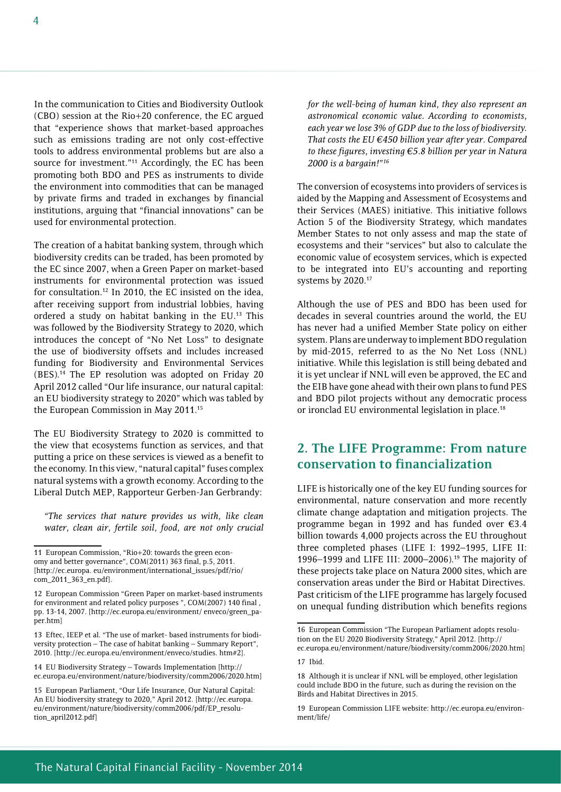In the communication to Cities and Biodiversity Outlook (CBO) session at the Rio+20 conference, the EC argued that "experience shows that market-based approaches such as emissions trading are not only cost-effective tools to address environmental problems but are also a source for investment."<sup>11</sup> Accordingly, the EC has been promoting both BDO and PES as instruments to divide the environment into commodities that can be managed by private firms and traded in exchanges by financial institutions, arguing that "financial innovations" can be used for environmental protection.

The creation of a habitat banking system, through which biodiversity credits can be traded, has been promoted by the EC since 2007, when a Green Paper on market-based instruments for environmental protection was issued for consultation.12 In 2010, the EC insisted on the idea, after receiving support from industrial lobbies, having ordered a study on habitat banking in the EU.13 This was followed by the Biodiversity Strategy to 2020, which introduces the concept of "No Net Loss" to designate the use of biodiversity offsets and includes increased funding for Biodiversity and Environmental Services (BES).14 The EP resolution was adopted on Friday 20 April 2012 called "Our life insurance, our natural capital: an EU biodiversity strategy to 2020" which was tabled by the European Commission in May 2011.15

The EU Biodiversity Strategy to 2020 is committed to the view that ecosystems function as services, and that putting a price on these services is viewed as a benefit to the economy. In this view, "natural capital" fuses complex natural systems with a growth economy. According to the Liberal Dutch MEP, Rapporteur Gerben-Jan Gerbrandy:

*"The services that nature provides us with, like clean water, clean air, fertile soil, food, are not only crucial* 

14 EU Biodiversity Strategy – Towards Implementation [http:// ec.europa.eu/environment/nature/biodiversity/comm2006/2020.htm] *for the well-being of human kind, they also represent an astronomical economic value. According to economists, each year we lose 3% of GDP due to the loss of biodiversity. That costs the EU €450 billion year after year. Compared to these figures, investing €5.8 billion per year in Natura 2000 is a bargain!"16*

The conversion of ecosystems into providers of services is aided by the Mapping and Assessment of Ecosystems and their Services (MAES) initiative. This initiative follows Action 5 of the Biodiversity Strategy, which mandates Member States to not only assess and map the state of ecosystems and their "services" but also to calculate the economic value of ecosystem services, which is expected to be integrated into EU's accounting and reporting systems by 2020.17

Although the use of PES and BDO has been used for decades in several countries around the world, the EU has never had a unified Member State policy on either system. Plans are underway to implement BDO regulation by mid-2015, referred to as the No Net Loss (NNL) initiative. While this legislation is still being debated and it is yet unclear if NNL will even be approved, the EC and the EIB have gone ahead with their own plans to fund PES and BDO pilot projects without any democratic process or ironclad EU environmental legislation in place.<sup>18</sup>

## **2. The LIFE Programme: From nature conservation to financialization**

LIFE is historically one of the key EU funding sources for environmental, nature conservation and more recently climate change adaptation and mitigation projects. The programme began in 1992 and has funded over €3.4 billion towards 4,000 projects across the EU throughout three completed phases (LIFE I: 1992–1995, LIFE II: 1996–1999 and LIFE III: 2000–2006).19 The majority of these projects take place on Natura 2000 sites, which are conservation areas under the Bird or Habitat Directives. Past criticism of the LIFE programme has largely focused on unequal funding distribution which benefits regions

<sup>11</sup> European Commission, "Rio+20: towards the green economy and better governance", COM(2011) 363 final, p.5, 2011. [http://ec.europa. eu/environment/international\_issues/pdf/rio/ com\_2011\_363\_en.pdf].

<sup>12</sup> European Commission "Green Paper on market-based instruments for environment and related policy purposes ", COM(2007) 140 final , pp. 13-14, 2007. [http://ec.europa.eu/environment/ enveco/green\_paper.htm]

<sup>13</sup> Eftec, IEEP et al. "The use of market- based instruments for biodiversity protection – The case of habitat banking – Summary Report", 2010. [http://ec.europa.eu/environment/enveco/studies. htm#2].

<sup>15</sup> European Parliament, "Our Life Insurance, Our Natural Capital: An EU biodiversity strategy to 2020," April 2012. [http://ec.europa. eu/environment/nature/biodiversity/comm2006/pdf/EP\_resolution\_april2012.pdf]

<sup>16</sup> European Commission "The European Parliament adopts resolution on the EU 2020 Biodiversity Strategy," April 2012. [http:// ec.europa.eu/environment/nature/biodiversity/comm2006/2020.htm]

<sup>17</sup> Ibid.

<sup>18</sup> Although it is unclear if NNL will be employed, other legislation could include BDO in the future, such as during the revision on the Birds and Habitat Directives in 2015.

<sup>19</sup> European Commission LIFE website: http://ec.europa.eu/environment/life/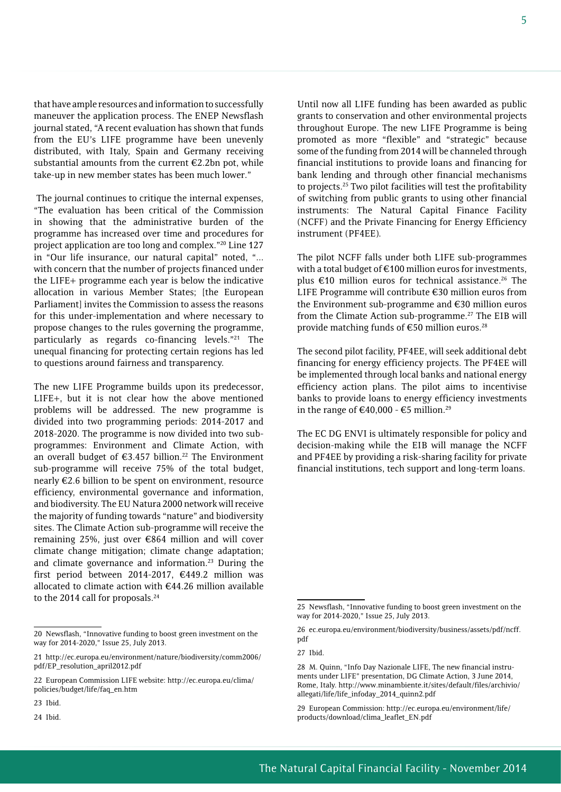that have ample resources and information to successfully maneuver the application process. The ENEP Newsflash journal stated, "A recent evaluation has shown that funds from the EU's LIFE programme have been unevenly distributed, with Italy, Spain and Germany receiving substantial amounts from the current €2.2bn pot, while take-up in new member states has been much lower."

 The journal continues to critique the internal expenses, "The evaluation has been critical of the Commission in showing that the administrative burden of the programme has increased over time and procedures for project application are too long and complex."20 Line 127 in "Our life insurance, our natural capital" noted, "... with concern that the number of projects financed under the LIFE+ programme each year is below the indicative allocation in various Member States; [the European Parliament] invites the Commission to assess the reasons for this under-implementation and where necessary to propose changes to the rules governing the programme, particularly as regards co-financing levels."21 The unequal financing for protecting certain regions has led to questions around fairness and transparency.

The new LIFE Programme builds upon its predecessor, LIFE+, but it is not clear how the above mentioned problems will be addressed. The new programme is divided into two programming periods: 2014-2017 and 2018-2020. The programme is now divided into two subprogrammes: Environment and Climate Action, with an overall budget of  $\epsilon$ 3.457 billion.<sup>22</sup> The Environment sub-programme will receive 75% of the total budget, nearly €2.6 billion to be spent on environment, resource efficiency, environmental governance and information, and biodiversity. The EU Natura 2000 network will receive the majority of funding towards "nature" and biodiversity sites. The Climate Action sub-programme will receive the remaining 25%, just over €864 million and will cover climate change mitigation; climate change adaptation; and climate governance and information.<sup>23</sup> During the first period between 2014-2017, €449.2 million was allocated to climate action with €44.26 million available to the 2014 call for proposals.<sup>24</sup>

Until now all LIFE funding has been awarded as public grants to conservation and other environmental projects throughout Europe. The new LIFE Programme is being promoted as more "flexible" and "strategic" because some of the funding from 2014 will be channeled through financial institutions to provide loans and financing for bank lending and through other financial mechanisms to projects.25 Two pilot facilities will test the profitability of switching from public grants to using other financial instruments: The Natural Capital Finance Facility (NCFF) and the Private Financing for Energy Efficiency instrument (PF4EE).

The pilot NCFF falls under both LIFE sub-programmes with a total budget of €100 million euros for investments, plus  $\epsilon$ 10 million euros for technical assistance.<sup>26</sup> The LIFE Programme will contribute €30 million euros from the Environment sub-programme and €30 million euros from the Climate Action sub-programme.<sup>27</sup> The EIB will provide matching funds of €50 million euros.<sup>28</sup>

The second pilot facility, PF4EE, will seek additional debt financing for energy efficiency projects. The PF4EE will be implemented through local banks and national energy efficiency action plans. The pilot aims to incentivise banks to provide loans to energy efficiency investments in the range of €40,000 - €5 million.<sup>29</sup>

The EC DG ENVI is ultimately responsible for policy and decision-making while the EIB will manage the NCFF and PF4EE by providing a risk-sharing facility for private financial institutions, tech support and long-term loans.

<sup>20</sup> Newsflash, "Innovative funding to boost green investment on the way for 2014-2020," Issue 25, July 2013.

<sup>21</sup> http://ec.europa.eu/environment/nature/biodiversity/comm2006/ pdf/EP\_resolution\_april2012.pdf

<sup>22</sup> European Commission LIFE website: http://ec.europa.eu/clima/ policies/budget/life/faq\_en.htm

<sup>23</sup> Ibid.

<sup>24</sup> Ibid.

<sup>25</sup> Newsflash, "Innovative funding to boost green investment on the way for 2014-2020," Issue 25, July 2013.

<sup>26</sup> ec.europa.eu/environment/biodiversity/business/assets/pdf/ncff. pdf

<sup>27</sup> Ibid.

<sup>28</sup> M. Quinn, "Info Day Nazionale LIFE, The new financial instruments under LIFE" presentation, DG Climate Action, 3 June 2014, Rome, Italy. http://www.minambiente.it/sites/default/files/archivio/ allegati/life/life\_infoday\_2014\_quinn2.pdf

<sup>29</sup> European Commission: http://ec.europa.eu/environment/life/ products/download/clima\_leaflet\_EN.pdf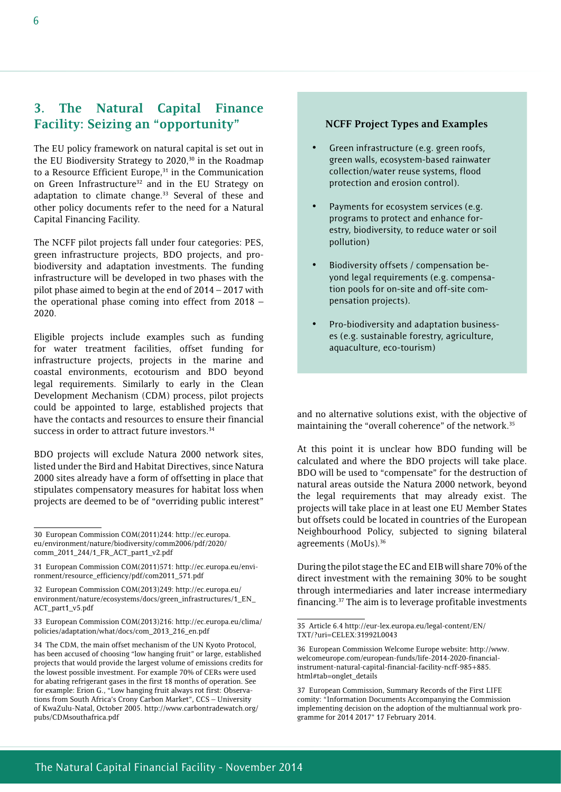## **3. The Natural Capital Finance Facility: Seizing an "opportunity"**

The EU policy framework on natural capital is set out in the EU Biodiversity Strategy to 2020,<sup>30</sup> in the Roadmap to a Resource Efficient Europe,<sup>31</sup> in the Communication on Green Infrastructure<sup>32</sup> and in the EU Strategy on adaptation to climate change.<sup>33</sup> Several of these and other policy documents refer to the need for a Natural Capital Financing Facility.

The NCFF pilot projects fall under four categories: PES, green infrastructure projects, BDO projects, and probiodiversity and adaptation investments. The funding infrastructure will be developed in two phases with the pilot phase aimed to begin at the end of 2014 – 2017 with the operational phase coming into effect from 2018 – 2020.

Eligible projects include examples such as funding for water treatment facilities, offset funding for infrastructure projects, projects in the marine and coastal environments, ecotourism and BDO beyond legal requirements. Similarly to early in the Clean Development Mechanism (CDM) process, pilot projects could be appointed to large, established projects that have the contacts and resources to ensure their financial success in order to attract future investors.<sup>34</sup>

BDO projects will exclude Natura 2000 network sites, listed under the Bird and Habitat Directives, since Natura 2000 sites already have a form of offsetting in place that stipulates compensatory measures for habitat loss when projects are deemed to be of "overriding public interest"

#### **NCFF Project Types and Examples**

- Green infrastructure (e.g. green roofs, green walls, ecosystem-based rainwater collection/water reuse systems, flood protection and erosion control).
- Payments for ecosystem services (e.g. programs to protect and enhance forestry, biodiversity, to reduce water or soil pollution)
- Biodiversity offsets / compensation beyond legal requirements (e.g. compensation pools for on-site and off-site compensation projects).
- Pro-biodiversity and adaptation businesses (e.g. sustainable forestry, agriculture, aquaculture, eco-tourism)

and no alternative solutions exist, with the objective of maintaining the "overall coherence" of the network.<sup>35</sup>

At this point it is unclear how BDO funding will be calculated and where the BDO projects will take place. BDO will be used to "compensate" for the destruction of natural areas outside the Natura 2000 network, beyond the legal requirements that may already exist. The projects will take place in at least one EU Member States but offsets could be located in countries of the European Neighbourhood Policy, subjected to signing bilateral agreements (MoUs).36

During the pilot stage the EC and EIB will share 70% of the direct investment with the remaining 30% to be sought through intermediaries and later increase intermediary financing.37 The aim is to leverage profitable investments

<sup>30</sup> European Commission COM(2011)244: http://ec.europa. eu/environment/nature/biodiversity/comm2006/pdf/2020/ comm\_2011\_244/1\_FR\_ACT\_part1\_v2.pdf

<sup>31</sup> European Commission COM(2011)571: http://ec.europa.eu/environment/resource\_efficiency/pdf/com2011\_571.pdf

<sup>32</sup> European Commission COM(2013)249: http://ec.europa.eu/ environment/nature/ecosystems/docs/green\_infrastructures/1\_EN\_ ACT\_part1\_v5.pdf

<sup>33</sup> European Commission COM(2013)216: http://ec.europa.eu/clima/ policies/adaptation/what/docs/com\_2013\_216\_en.pdf

<sup>34</sup> The CDM, the main offset mechanism of the UN Kyoto Protocol, has been accused of choosing "low hanging fruit" or large, established projects that would provide the largest volume of emissions credits for the lowest possible investment. For example 70% of CERs were used for abating refrigerant gases in the first 18 months of operation. See for example: Erion G., "Low hanging fruit always rot first: Observations from South Africa's Crony Carbon Market", CCS – University of KwaZulu-Natal, October 2005. http://www.carbontradewatch.org/ pubs/CDMsouthafrica.pdf

<sup>35</sup> Article 6.4 http://eur-lex.europa.eu/legal-content/EN/ TXT/?uri=CELEX:31992L0043

<sup>36</sup> European Commission Welcome Europe website: http://www. welcomeurope.com/european-funds/life-2014-2020-financialinstrument-natural-capital-financial-facility-ncff-985+885. html#tab=onglet\_details

<sup>37</sup> European Commission, Summary Records of the First LIFE comity: "Information Documents Accompanying the Commission implementing decision on the adoption of the multiannual work programme for 2014 2017" 17 February 2014.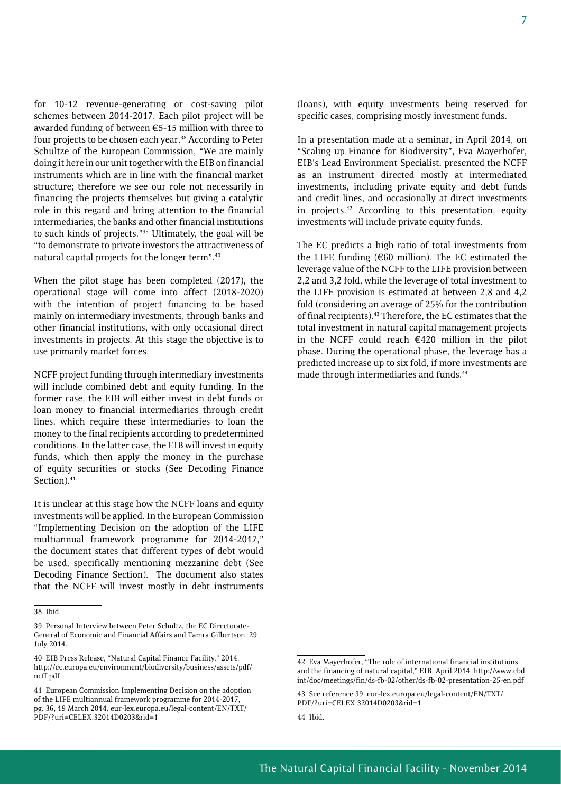for 10-12 revenue-generating or cost-saving pilot schemes between 2014-2017. Each pilot project will be awarded funding of between €5-15 million with three to four projects to be chosen each year.<sup>38</sup> According to Peter Schultze of the European Commission, "We are mainly doing it here in our unit together with the EIB on financial instruments which are in line with the financial market structure; therefore we see our role not necessarily in financing the projects themselves but giving a catalytic role in this regard and bring attention to the financial intermediaries, the banks and other financial institutions to such kinds of projects."39 Ultimately, the goal will be "to demonstrate to private investors the attractiveness of natural capital projects for the longer term".40

When the pilot stage has been completed (2017), the operational stage will come into affect (2018-2020) with the intention of project financing to be based mainly on intermediary investments, through banks and other financial institutions, with only occasional direct investments in projects. At this stage the objective is to use primarily market forces.

NCFF project funding through intermediary investments will include combined debt and equity funding. In the former case, the EIB will either invest in debt funds or loan money to financial intermediaries through credit lines, which require these intermediaries to loan the money to the final recipients according to predetermined conditions. In the latter case, the EIB will invest in equity funds, which then apply the money in the purchase of equity securities or stocks (See Decoding Finance Section).<sup>41</sup>

It is unclear at this stage how the NCFF loans and equity investments will be applied. In the European Commission "Implementing Decision on the adoption of the LIFE multiannual framework programme for 2014-2017," the document states that different types of debt would be used, specifically mentioning mezzanine debt (See Decoding Finance Section). The document also states that the NCFF will invest mostly in debt instruments

(loans), with equity investments being reserved for specific cases, comprising mostly investment funds.

In a presentation made at a seminar, in April 2014, on "Scaling up Finance for Biodiversity", Eva Mayerhofer, EIB's Lead Environment Specialist, presented the NCFF as an instrument directed mostly at intermediated investments, including private equity and debt funds and credit lines, and occasionally at direct investments in projects.<sup>42</sup> According to this presentation, equity investments will include private equity funds.

The EC predicts a high ratio of total investments from the LIFE funding (€60 million). The EC estimated the leverage value of the NCFF to the LIFE provision between 2,2 and 3,2 fold, while the leverage of total investment to the LIFE provision is estimated at between 2,8 and 4,2 fold (considering an average of 25% for the contribution of final recipients).<sup>43</sup> Therefore, the EC estimates that the total investment in natural capital management projects in the NCFF could reach €420 million in the pilot phase. During the operational phase, the leverage has a predicted increase up to six fold, if more investments are made through intermediaries and funds.<sup>44</sup>

<sup>38</sup> Ibid.

<sup>39</sup> Personal Interview between Peter Schultz, the EC Directorate-General of Economic and Financial Affairs and Tamra Gilbertson, 29 July 2014.

<sup>40</sup> EIB Press Release, "Natural Capital Finance Facility," 2014. http://ec.europa.eu/environment/biodiversity/business/assets/pdf/ ncff.pdf

<sup>41</sup> European Commission Implementing Decision on the adoption of the LIFE multiannual framework programme for 2014-2017, pg. 36, 19 March 2014. eur-lex.europa.eu/legal-content/EN/TXT/ PDF/?uri=CELEX:32014D0203&rid=1

<sup>42</sup> Eva Mayerhofer, "The role of international financial institutions and the financing of natural capital," EIB, April 2014. http://www.cbd. int/doc/meetings/fin/ds-fb-02/other/ds-fb-02-presentation-25-en.pdf

<sup>43</sup> See reference 39. eur-lex.europa.eu/legal-content/EN/TXT/ PDF/?uri=CELEX:32014D0203&rid=1

<sup>44</sup> Ibid.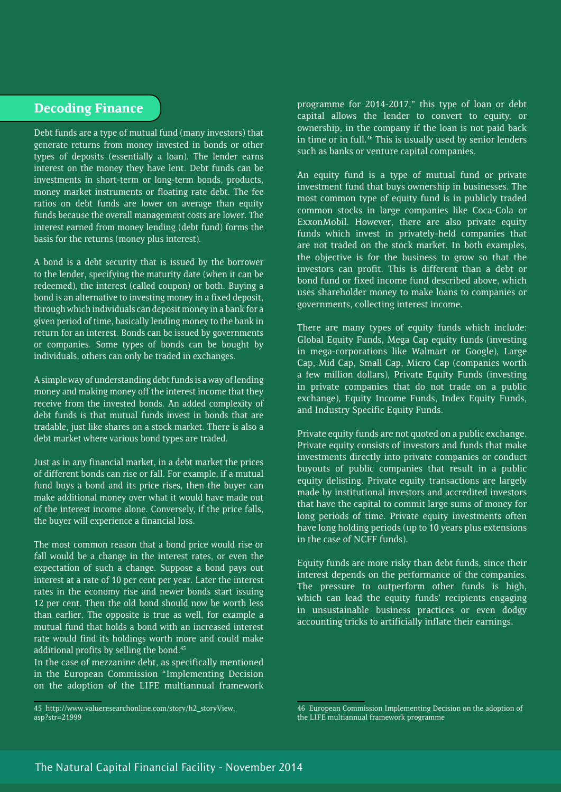## **Decoding Finance**

Debt funds are a type of mutual fund (many investors) that generate returns from money invested in bonds or other types of deposits (essentially a loan). The lender earns interest on the money they have lent. Debt funds can be investments in short-term or long-term bonds, products, money market instruments or floating rate debt. The fee ratios on debt funds are lower on average than equity funds because the overall management costs are lower. The interest earned from money lending (debt fund) forms the basis for the returns (money plus interest).

A bond is a debt security that is issued by the borrower to the lender, specifying the maturity date (when it can be redeemed), the interest (called coupon) or both. Buying a bond is an alternative to investing money in a fixed deposit, through which individuals can deposit money in a bank for a given period of time, basically lending money to the bank in return for an interest. Bonds can be issued by governments or companies. Some types of bonds can be bought by individuals, others can only be traded in exchanges.

A simple way of understanding debt funds is a way of lending money and making money off the interest income that they receive from the invested bonds. An added complexity of debt funds is that mutual funds invest in bonds that are tradable, just like shares on a stock market. There is also a debt market where various bond types are traded.

Just as in any financial market, in a debt market the prices of different bonds can rise or fall. For example, if a mutual fund buys a bond and its price rises, then the buyer can make additional money over what it would have made out of the interest income alone. Conversely, if the price falls, the buyer will experience a financial loss.

The most common reason that a bond price would rise or fall would be a change in the interest rates, or even the expectation of such a change. Suppose a bond pays out interest at a rate of 10 per cent per year. Later the interest rates in the economy rise and newer bonds start issuing 12 per cent. Then the old bond should now be worth less than earlier. The opposite is true as well, for example a mutual fund that holds a bond with an increased interest rate would find its holdings worth more and could make additional profits by selling the bond.<sup>45</sup>

In the case of mezzanine debt, as specifically mentioned in the European Commission "Implementing Decision on the adoption of the LIFE multiannual framework

45 http://www.valueresearchonline.com/story/h2\_storyView. asp?str=21999

programme for 2014-2017," this type of loan or debt capital allows the lender to convert to equity, or ownership, in the company if the loan is not paid back in time or in full.<sup>46</sup> This is usually used by senior lenders such as banks or venture capital companies.

An equity fund is a type of mutual fund or private investment fund that buys ownership in businesses. The most common type of equity fund is in publicly traded common stocks in large companies like Coca-Cola or ExxonMobil. However, there are also private equity funds which invest in privately-held companies that are not traded on the stock market. In both examples, the objective is for the business to grow so that the investors can profit. This is different than a debt or bond fund or fixed income fund described above, which uses shareholder money to make loans to companies or governments, collecting interest income.

There are many types of equity funds which include: Global Equity Funds, Mega Cap equity funds (investing in mega-corporations like Walmart or Google), Large Cap, Mid Cap, Small Cap, Micro Cap (companies worth a few million dollars), Private Equity Funds (investing in private companies that do not trade on a public exchange), Equity Income Funds, Index Equity Funds, and Industry Specific Equity Funds.

Private equity funds are not quoted on a public exchange. Private equity consists of investors and funds that make investments directly into private companies or conduct buyouts of public companies that result in a public equity delisting. Private equity transactions are largely made by institutional investors and accredited investors that have the capital to commit large sums of money for long periods of time. Private equity investments often have long holding periods (up to 10 years plus extensions in the case of NCFF funds).

Equity funds are more risky than debt funds, since their interest depends on the performance of the companies. The pressure to outperform other funds is high, which can lead the equity funds' recipients engaging in unsustainable business practices or even dodgy accounting tricks to artificially inflate their earnings.

<sup>46</sup> European Commission Implementing Decision on the adoption of the LIFE multiannual framework programme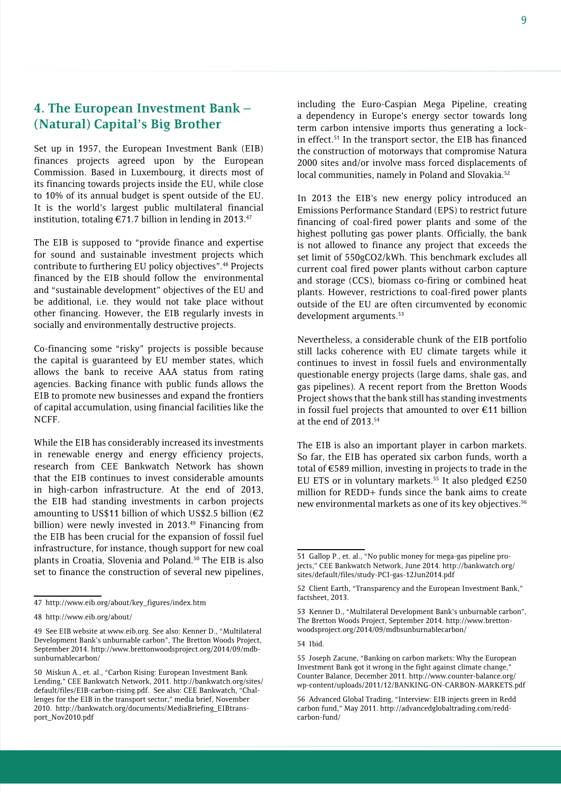## **4. The European Investment Bank – (Natural) Capital's Big Brother**

Set up in 1957, the European Investment Bank (EIB) finances projects agreed upon by the European Commission. Based in Luxembourg, it directs most of its financing towards projects inside the EU, while close to 10% of its annual budget is spent outside of the EU. It is the world's largest public multilateral financial institution, totaling  $\epsilon$ 71.7 billion in lending in 2013.<sup>47</sup>

The EIB is supposed to "provide finance and expertise for sound and sustainable investment projects which contribute to furthering EU policy objectives".48 Projects financed by the EIB should follow the environmental and "sustainable development" objectives of the EU and be additional, i.e. they would not take place without other financing. However, the EIB regularly invests in socially and environmentally destructive projects.

Co-financing some "risky" projects is possible because the capital is guaranteed by EU member states, which allows the bank to receive AAA status from rating agencies. Backing finance with public funds allows the EIB to promote new businesses and expand the frontiers of capital accumulation, using financial facilities like the NCFF.

While the EIB has considerably increased its investments in renewable energy and energy efficiency projects, research from CEE Bankwatch Network has shown that the EIB continues to invest considerable amounts in high-carbon infrastructure. At the end of 2013, the EIB had standing investments in carbon projects amounting to US\$11 billion of which US\$2.5 billion (€2 billion) were newly invested in 2013.<sup>49</sup> Financing from the EIB has been crucial for the expansion of fossil fuel infrastructure, for instance, though support for new coal plants in Croatia, Slovenia and Poland.50 The EIB is also set to finance the construction of several new pipelines,

including the Euro-Caspian Mega Pipeline, creating a dependency in Europe's energy sector towards long term carbon intensive imports thus generating a lockin effect.51 In the transport sector, the EIB has financed the construction of motorways that compromise Natura 2000 sites and/or involve mass forced displacements of local communities, namely in Poland and Slovakia.<sup>52</sup>

In 2013 the EIB's new energy policy introduced an Emissions Performance Standard (EPS) to restrict future financing of coal-fired power plants and some of the highest polluting gas power plants. Officially, the bank is not allowed to finance any project that exceeds the set limit of 550gCO2/kWh. This benchmark excludes all current coal fired power plants without carbon capture and storage (CCS), biomass co-firing or combined heat plants. However, restrictions to coal-fired power plants outside of the EU are often circumvented by economic development arguments.<sup>53</sup>

Nevertheless, a considerable chunk of the EIB portfolio still lacks coherence with EU climate targets while it continues to invest in fossil fuels and environmentally questionable energy projects (large dams, shale gas, and gas pipelines). A recent report from the Bretton Woods Project shows that the bank still has standing investments in fossil fuel projects that amounted to over €11 billion at the end of 2013.54

The EIB is also an important player in carbon markets. So far, the EIB has operated six carbon funds, worth a total of €589 million, investing in projects to trade in the EU ETS or in voluntary markets.<sup>55</sup> It also pledged  $\epsilon$ 250 million for REDD+ funds since the bank aims to create new environmental markets as one of its key objectives.<sup>56</sup>

<sup>47</sup> http://www.eib.org/about/key\_figures/index.htm

<sup>48</sup> http://www.eib.org/about/

<sup>49</sup> See EIB website at www.eib.org. See also: Kenner D., "Multilateral Development Bank's unburnable carbon", The Bretton Woods Project, September 2014. http://www.brettonwoodsproject.org/2014/09/mdbsunburnablecarbon/

<sup>50</sup> Miskun A., et. al., "Carbon Rising: European Investment Bank Lending," CEE Bankwatch Network, 2011. http://bankwatch.org/sites/ default/files/EIB-carbon-rising.pdf. See also: CEE Bankwatch, "Challenges for the EIB in the transport sector," media brief, November 2010. http://bankwatch.org/documents/MediaBriefing\_EIBtransport\_Nov2010.pdf

<sup>51</sup> Gallop P., et. al., "No public money for mega-gas pipeline projects," CEE Bankwatch Network, June 2014. http://bankwatch.org/ sites/default/files/study-PCI-gas-12Jun2014.pdf

<sup>52</sup> Client Earth, "Transparency and the European Investment Bank," factsheet, 2013.

<sup>53</sup> Kenner D., "Multilateral Development Bank's unburnable carbon", The Bretton Woods Project, September 2014. http://www.brettonwoodsproject.org/2014/09/mdbsunburnablecarbon/

<sup>54</sup> Ibid.

<sup>55</sup> Joseph Zacune, "Banking on carbon markets: Why the European Investment Bank got it wrong in the fight against climate change," Counter Balance, December 2011. http://www.counter-balance.org/ wp-content/uploads/2011/12/BANKING-ON-CARBON-MARKETS.pdf

<sup>56</sup> Advanced Global Trading, "Interview: EIB injects green in Redd carbon fund," May 2011. http://advancedglobaltrading.com/reddcarbon-fund/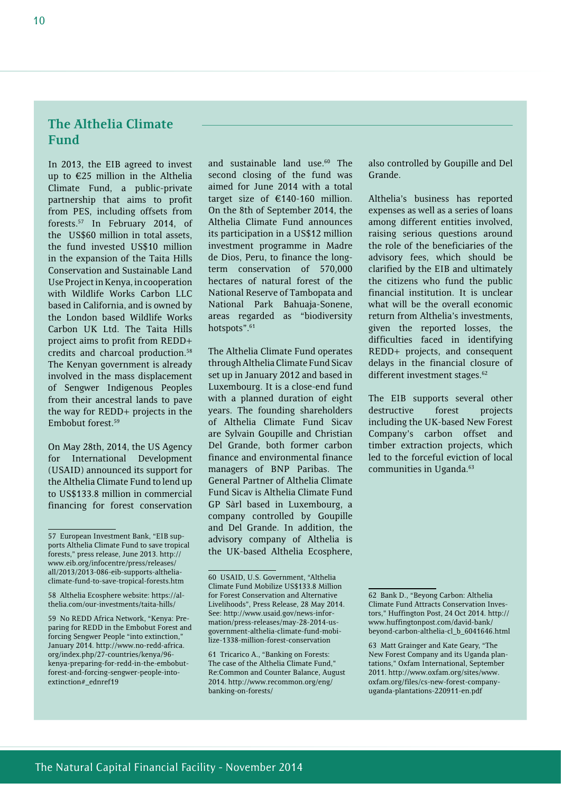## **The Althelia Climate Fund**

In 2013, the EIB agreed to invest up to €25 million in the Althelia Climate Fund, a public-private partnership that aims to profit from PES, including offsets from forests.57 In February 2014, of the US\$60 million in total assets, the fund invested US\$10 million in the expansion of the Taita Hills Conservation and Sustainable Land Use Project in Kenya, in cooperation with Wildlife Works Carbon LLC based in California, and is owned by the London based Wildlife Works Carbon UK Ltd. The Taita Hills project aims to profit from REDD+ credits and charcoal production.58 The Kenyan government is already involved in the mass displacement of Sengwer Indigenous Peoples from their ancestral lands to pave the way for REDD+ projects in the Embobut forest.59

On May 28th, 2014, the US Agency for International Development (USAID) announced its support for the Althelia Climate Fund to lend up to US\$133.8 million in commercial financing for forest conservation

and sustainable land use.<sup>60</sup> The second closing of the fund was aimed for June 2014 with a total target size of €140-160 million. On the 8th of September 2014, the Althelia Climate Fund announces its participation in a US\$12 million investment programme in Madre de Dios, Peru, to finance the longterm conservation of 570,000 hectares of natural forest of the National Reserve of Tambopata and National Park Bahuaja-Sonene, areas regarded as "biodiversity hotspots".<sup>61</sup>

The Althelia Climate Fund operates through Althelia Climate Fund Sicav set up in January 2012 and based in Luxembourg. It is a close-end fund with a planned duration of eight years. The founding shareholders of Althelia Climate Fund Sicav are Sylvain Goupille and Christian Del Grande, both former carbon finance and environmental finance managers of BNP Paribas. The General Partner of Althelia Climate Fund Sicav is Althelia Climate Fund GP Sàrl based in Luxembourg, a company controlled by Goupille and Del Grande. In addition, the advisory company of Althelia is the UK-based Althelia Ecosphere, also controlled by Goupille and Del Grande.

Althelia's business has reported expenses as well as a series of loans among different entities involved, raising serious questions around the role of the beneficiaries of the advisory fees, which should be clarified by the EIB and ultimately the citizens who fund the public financial institution. It is unclear what will be the overall economic return from Althelia's investments, given the reported losses, the difficulties faced in identifying REDD+ projects, and consequent delays in the financial closure of different investment stages.<sup>62</sup>

The EIB supports several other destructive forest projects including the UK-based New Forest Company's carbon offset and timber extraction projects, which led to the forceful eviction of local communities in Uganda.<sup>63</sup>

<sup>57</sup> European Investment Bank, "EIB supports Althelia Climate Fund to save tropical forests," press release, June 2013. http:// www.eib.org/infocentre/press/releases/ all/2013/2013-086-eib-supports-altheliaclimate-fund-to-save-tropical-forests.htm

<sup>58</sup> Althelia Ecosphere website: https://althelia.com/our-investments/taita-hills/

<sup>59</sup> No REDD Africa Network, "Kenya: Preparing for REDD in the Embobut Forest and forcing Sengwer People "into extinction," January 2014. http://www.no-redd-africa. org/index.php/27-countries/kenya/96 kenya-preparing-for-redd-in-the-embobutforest-and-forcing-sengwer-people-intoextinction#\_ednref19

<sup>60</sup> USAID, U.S. Government, "Althelia Climate Fund Mobilize US\$133.8 Million for Forest Conservation and Alternative Livelihoods", Press Release, 28 May 2014. See: http://www.usaid.gov/news-information/press-releases/may-28-2014-usgovernment-althelia-climate-fund-mobilize-1338-million-forest-conservation

<sup>61</sup> Tricarico A., "Banking on Forests: The case of the Althelia Climate Fund," Re:Common and Counter Balance, August 2014. http://www.recommon.org/eng/ banking-on-forests/

<sup>62</sup> Bank D., "Beyong Carbon: Althelia Climate Fund Attracts Conservation Investors," Huffington Post, 24 Oct 2014. http:// www.huffingtonpost.com/david-bank/ beyond-carbon-althelia-cl\_b\_6041646.html

<sup>63</sup> Matt Grainger and Kate Geary, "The New Forest Company and its Uganda plantations," Oxfam International, September 2011. http://www.oxfam.org/sites/www. oxfam.org/files/cs-new-forest-companyuganda-plantations-220911-en.pdf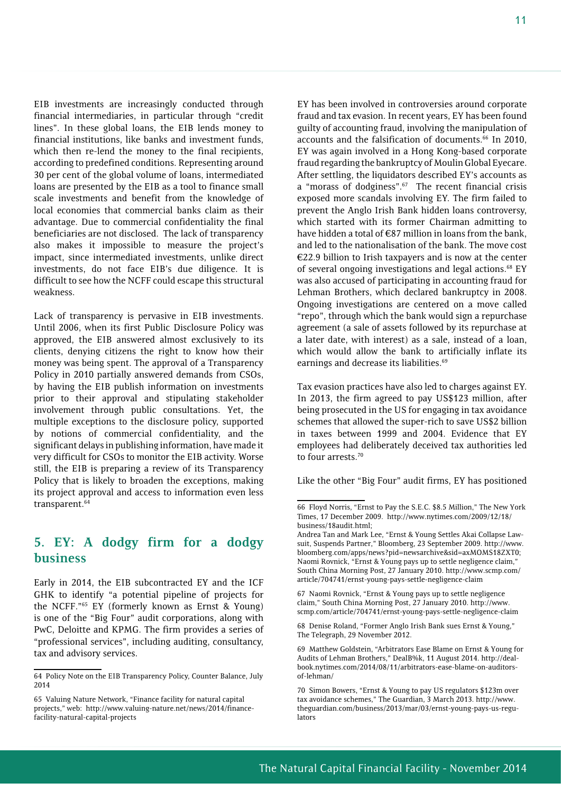EIB investments are increasingly conducted through financial intermediaries, in particular through "credit lines". In these global loans, the EIB lends money to financial institutions, like banks and investment funds, which then re-lend the money to the final recipients, according to predefined conditions. Representing around 30 per cent of the global volume of loans, intermediated loans are presented by the EIB as a tool to finance small scale investments and benefit from the knowledge of local economies that commercial banks claim as their advantage. Due to commercial confidentiality the final beneficiaries are not disclosed. The lack of transparency also makes it impossible to measure the project's impact, since intermediated investments, unlike direct investments, do not face EIB's due diligence. It is difficult to see how the NCFF could escape this structural weakness.

Lack of transparency is pervasive in EIB investments. Until 2006, when its first Public Disclosure Policy was approved, the EIB answered almost exclusively to its clients, denying citizens the right to know how their money was being spent. The approval of a Transparency Policy in 2010 partially answered demands from CSOs, by having the EIB publish information on investments prior to their approval and stipulating stakeholder involvement through public consultations. Yet, the multiple exceptions to the disclosure policy, supported by notions of commercial confidentiality, and the significant delays in publishing information, have made it very difficult for CSOs to monitor the EIB activity. Worse still, the EIB is preparing a review of its Transparency Policy that is likely to broaden the exceptions, making its project approval and access to information even less transparent.<sup>64</sup>

## **5. EY: A dodgy firm for a dodgy business**

Early in 2014, the EIB subcontracted EY and the ICF GHK to identify "a potential pipeline of projects for the NCFF."65 EY (formerly known as Ernst & Young) is one of the "Big Four" audit corporations, along with PwC, Deloitte and KPMG. The firm provides a series of "professional services", including auditing, consultancy, tax and advisory services.

EY has been involved in controversies around corporate fraud and tax evasion. In recent years, EY has been found guilty of accounting fraud, involving the manipulation of accounts and the falsification of documents.<sup>66</sup> In 2010, EY was again involved in a Hong Kong-based corporate fraud regarding the bankruptcy of Moulin Global Eyecare. After settling, the liquidators described EY's accounts as a "morass of dodginess".<sup>67</sup> The recent financial crisis exposed more scandals involving EY. The firm failed to prevent the Anglo Irish Bank hidden loans controversy, which started with its former Chairman admitting to have hidden a total of  $\epsilon$ 87 million in loans from the bank. and led to the nationalisation of the bank. The move cost €22.9 billion to Irish taxpayers and is now at the center of several ongoing investigations and legal actions.<sup>68</sup> EY was also accused of participating in accounting fraud for Lehman Brothers, which declared bankruptcy in 2008. Ongoing investigations are centered on a move called "repo", through which the bank would sign a repurchase agreement (a sale of assets followed by its repurchase at a later date, with interest) as a sale, instead of a loan, which would allow the bank to artificially inflate its earnings and decrease its liabilities.<sup>69</sup>

Tax evasion practices have also led to charges against EY. In 2013, the firm agreed to pay US\$123 million, after being prosecuted in the US for engaging in tax avoidance schemes that allowed the super-rich to save US\$2 billion in taxes between 1999 and 2004. Evidence that EY employees had deliberately deceived tax authorities led to four arrests.<sup>70</sup>

Like the other "Big Four" audit firms, EY has positioned

67 Naomi Rovnick, "Ernst & Young pays up to settle negligence claim," South China Morning Post, 27 January 2010. http://www. scmp.com/article/704741/ernst-young-pays-settle-negligence-claim

68 Denise Roland, "Former Anglo Irish Bank sues Ernst & Young," The Telegraph, 29 November 2012.

<sup>64</sup> Policy Note on the EIB Transparency Policy, Counter Balance, July 2014

<sup>65</sup> Valuing Nature Network, "Finance facility for natural capital projects," web: http://www.valuing-nature.net/news/2014/financefacility-natural-capital-projects

<sup>66</sup> Floyd Norris, "Ernst to Pay the S.E.C. \$8.5 Million," The New York Times, 17 December 2009. http://www.nytimes.com/2009/12/18/ business/18audit.html;

Andrea Tan and Mark Lee, "Ernst & Young Settles Akai Collapse Lawsuit, Suspends Partner," Bloomberg, 23 September 2009. http://www. bloomberg.com/apps/news?pid=newsarchive&sid=axMOMS18ZXT0; Naomi Rovnick, "Ernst & Young pays up to settle negligence claim," South China Morning Post, 27 January 2010. http://www.scmp.com/ article/704741/ernst-young-pays-settle-negligence-claim

<sup>69</sup> Matthew Goldstein, "Arbitrators Ease Blame on Ernst & Young for Audits of Lehman Brothers," DealB%k, 11 August 2014. http://dealbook.nytimes.com/2014/08/11/arbitrators-ease-blame-on-auditorsof-lehman/

<sup>70</sup> Simon Bowers, "Ernst & Young to pay US regulators \$123m over tax avoidance schemes," The Guardian, 3 March 2013. http://www. theguardian.com/business/2013/mar/03/ernst-young-pays-us-regulators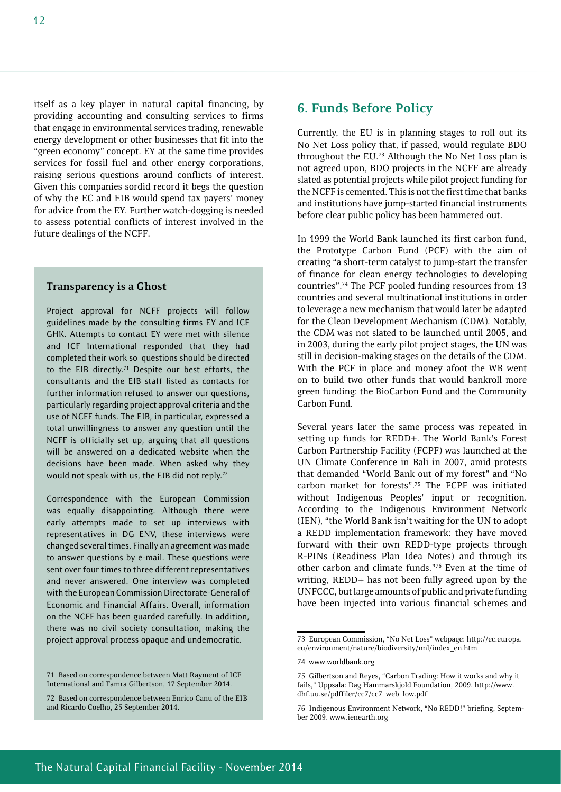itself as a key player in natural capital financing, by providing accounting and consulting services to firms that engage in environmental services trading, renewable energy development or other businesses that fit into the "green economy" concept. EY at the same time provides services for fossil fuel and other energy corporations, raising serious questions around conflicts of interest. Given this companies sordid record it begs the question of why the EC and EIB would spend tax payers' money for advice from the EY. Further watch-dogging is needed to assess potential conflicts of interest involved in the future dealings of the NCFF.

#### **Transparency is a Ghost**

Project approval for NCFF projects will follow guidelines made by the consulting firms EY and ICF GHK. Attempts to contact EY were met with silence and ICF International responded that they had completed their work so questions should be directed to the EIB directly.<sup>71</sup> Despite our best efforts, the consultants and the EIB staff listed as contacts for further information refused to answer our questions, particularly regarding project approval criteria and the use of NCFF funds. The EIB, in particular, expressed a total unwillingness to answer any question until the NCFF is officially set up, arguing that all questions will be answered on a dedicated website when the decisions have been made. When asked why they would not speak with us, the EIB did not reply.<sup>72</sup>

Correspondence with the European Commission was equally disappointing. Although there were early attempts made to set up interviews with representatives in DG ENV, these interviews were changed several times. Finally an agreement was made to answer questions by e-mail. These questions were sent over four times to three different representatives and never answered. One interview was completed with the European Commission Directorate-General of Economic and Financial Affairs. Overall, information on the NCFF has been guarded carefully. In addition, there was no civil society consultation, making the project approval process opaque and undemocratic.

## **6. Funds Before Policy**

Currently, the EU is in planning stages to roll out its No Net Loss policy that, if passed, would regulate BDO throughout the EU.73 Although the No Net Loss plan is not agreed upon, BDO projects in the NCFF are already slated as potential projects while pilot project funding for the NCFF is cemented. This is not the first time that banks and institutions have jump-started financial instruments before clear public policy has been hammered out.

In 1999 the World Bank launched its first carbon fund, the Prototype Carbon Fund (PCF) with the aim of creating "a short-term catalyst to jump-start the transfer of finance for clean energy technologies to developing countries".74 The PCF pooled funding resources from 13 countries and several multinational institutions in order to leverage a new mechanism that would later be adapted for the Clean Development Mechanism (CDM). Notably, the CDM was not slated to be launched until 2005, and in 2003, during the early pilot project stages, the UN was still in decision-making stages on the details of the CDM. With the PCF in place and money afoot the WB went on to build two other funds that would bankroll more green funding: the BioCarbon Fund and the Community Carbon Fund.

Several years later the same process was repeated in setting up funds for REDD+. The World Bank's Forest Carbon Partnership Facility (FCPF) was launched at the UN Climate Conference in Bali in 2007, amid protests that demanded "World Bank out of my forest" and "No carbon market for forests".75 The FCPF was initiated without Indigenous Peoples' input or recognition. According to the Indigenous Environment Network (IEN), "the World Bank isn't waiting for the UN to adopt a REDD implementation framework: they have moved forward with their own REDD-type projects through R-PINs (Readiness Plan Idea Notes) and through its other carbon and climate funds."76 Even at the time of writing, REDD+ has not been fully agreed upon by the UNFCCC, but large amounts of public and private funding have been injected into various financial schemes and

<sup>71</sup> Based on correspondence between Matt Rayment of ICF International and Tamra Gilbertson, 17 September 2014.

<sup>72</sup> Based on correspondence between Enrico Canu of the EIB and Ricardo Coelho, 25 September 2014.

<sup>73</sup> European Commission, "No Net Loss" webpage: http://ec.europa. eu/environment/nature/biodiversity/nnl/index\_en.htm

<sup>74</sup> www.worldbank.org

<sup>75</sup> Gilbertson and Reyes, "Carbon Trading: How it works and why it fails," Uppsala: Dag Hammarskjold Foundation, 2009. http://www. dhf.uu.se/pdffiler/cc7/cc7\_web\_low.pdf

<sup>76</sup> Indigenous Environment Network, "No REDD!" briefing, September 2009. www.ienearth.org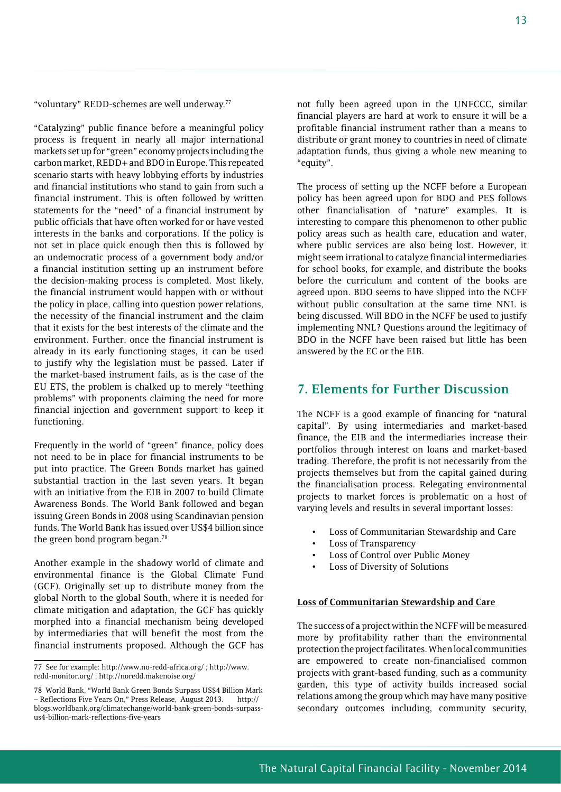"voluntary" REDD-schemes are well underway.77

"Catalyzing" public finance before a meaningful policy process is frequent in nearly all major international markets set up for "green" economy projects including the carbon market, REDD+ and BDO in Europe. This repeated scenario starts with heavy lobbying efforts by industries and financial institutions who stand to gain from such a financial instrument. This is often followed by written statements for the "need" of a financial instrument by public officials that have often worked for or have vested interests in the banks and corporations. If the policy is not set in place quick enough then this is followed by an undemocratic process of a government body and/or a financial institution setting up an instrument before the decision-making process is completed. Most likely, the financial instrument would happen with or without the policy in place, calling into question power relations, the necessity of the financial instrument and the claim that it exists for the best interests of the climate and the environment. Further, once the financial instrument is already in its early functioning stages, it can be used to justify why the legislation must be passed. Later if the market-based instrument fails, as is the case of the EU ETS, the problem is chalked up to merely "teething problems" with proponents claiming the need for more financial injection and government support to keep it functioning.

Frequently in the world of "green" finance, policy does not need to be in place for financial instruments to be put into practice. The Green Bonds market has gained substantial traction in the last seven years. It began with an initiative from the EIB in 2007 to build Climate Awareness Bonds. The World Bank followed and began issuing Green Bonds in 2008 using Scandinavian pension funds. The World Bank has issued over US\$4 billion since the green bond program began.<sup>78</sup>

Another example in the shadowy world of climate and environmental finance is the Global Climate Fund (GCF). Originally set up to distribute money from the global North to the global South, where it is needed for climate mitigation and adaptation, the GCF has quickly morphed into a financial mechanism being developed by intermediaries that will benefit the most from the financial instruments proposed. Although the GCF has not fully been agreed upon in the UNFCCC, similar financial players are hard at work to ensure it will be a profitable financial instrument rather than a means to distribute or grant money to countries in need of climate adaptation funds, thus giving a whole new meaning to "equity".

The process of setting up the NCFF before a European policy has been agreed upon for BDO and PES follows other financialisation of "nature" examples. It is interesting to compare this phenomenon to other public policy areas such as health care, education and water, where public services are also being lost. However, it might seem irrational to catalyze financial intermediaries for school books, for example, and distribute the books before the curriculum and content of the books are agreed upon. BDO seems to have slipped into the NCFF without public consultation at the same time NNL is being discussed. Will BDO in the NCFF be used to justify implementing NNL? Questions around the legitimacy of BDO in the NCFF have been raised but little has been answered by the EC or the EIB.

## **7. Elements for Further Discussion**

The NCFF is a good example of financing for "natural capital". By using intermediaries and market-based finance, the EIB and the intermediaries increase their portfolios through interest on loans and market-based trading. Therefore, the profit is not necessarily from the projects themselves but from the capital gained during the financialisation process. Relegating environmental projects to market forces is problematic on a host of varying levels and results in several important losses:

- Loss of Communitarian Stewardship and Care
- Loss of Transparency
- Loss of Control over Public Money
- Loss of Diversity of Solutions

#### **Loss of Communitarian Stewardship and Care**

The success of a project within the NCFF will be measured more by profitability rather than the environmental protection the project facilitates. When local communities are empowered to create non-financialised common projects with grant-based funding, such as a community garden, this type of activity builds increased social relations among the group which may have many positive secondary outcomes including, community security,

<sup>77</sup> See for example: http://www.no-redd-africa.org/ ; http://www. redd-monitor.org/ ; http://noredd.makenoise.org/

<sup>78</sup> World Bank, "World Bank Green Bonds Surpass US\$4 Billion Mark – Reflections Five Years On," Press Release, August 2013. http:// blogs.worldbank.org/climatechange/world-bank-green-bonds-surpassus4-billion-mark-reflections-five-years